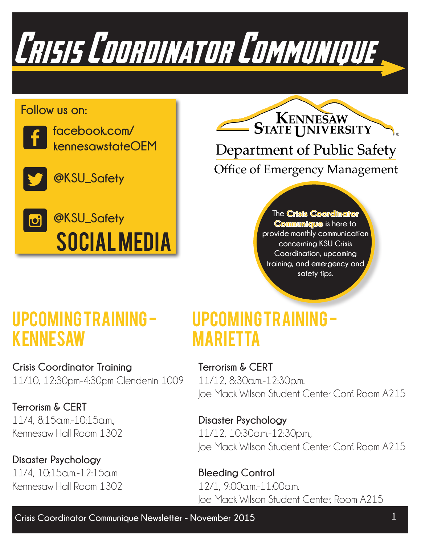Crisis Coordinator Communique

### **Follow us on:**



**facebook.com/ kennesawstateOEM**



**@KSU\_Safety**



KENNESAW **STATE UNIVERSITY** Department of Public Safety **Office of Emergency Management** 

> **The Crisis Coordinator Communique is here to provide monthly communication concerning KSU Crisis Coordination, upcoming training, and emergency and safety tips.**

## Upcoming Training kENNESAW

**Crisis Coordinator Training** 11/10, 12:30pm-4:30pm Clendenin 1009

**Terrorism & CERT** 11/4, 8:15a.m.-10:15a.m., Kennesaw Hall Room 1302

**Disaster Psychology** 11/4, 10:15a.m.-12:15a.m Kennesaw Hall Room 1302

### Upcoming Training mARIETTA

**Terrorism & CERT** 11/12, 8:30a.m.-12:30p.m. Joe Mack Wilson Student Center Conf. Room A215

**Disaster Psychology** 11/12, 10:30a.m.-12:30p.m., Joe Mack Wilson Student Center Conf. Room A215

**Bleeding Control** 12/1, 9:00a.m.-11:00a.m. Joe Mack Wilson Student Center, Room A215

**Crisis Coordinator Communique Newsletter - November 2015 1**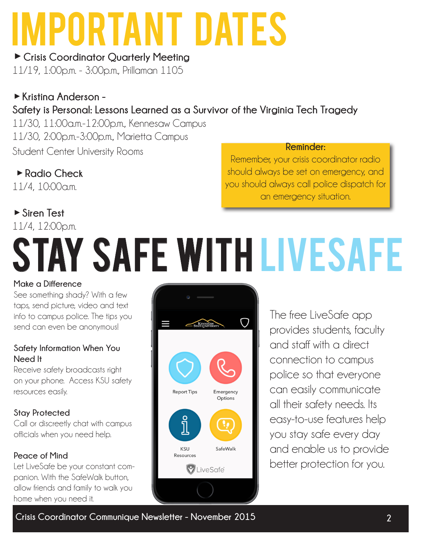## Important Dates

**►Crisis Coordinator Quarterly Meeting** 11/19, 1:00p.m. - 3:00p.m., Prillaman 1105

### **►Kristina Anderson - Safety is Personal: Lessons Learned as a Survivor of the Virginia Tech Tragedy**

11/30, 11:00a.m.-12:00p.m., Kennesaw Campus 11/30, 2:00p.m.-3:00p.m., Marietta Campus Student Center University Rooms

 **►Radio Check** 11/4, 10:00a.m.

### **►Siren Test**

### 11/4, 12:00p.m.

### Remember, your crisis coordinator radio

**Reminder:**

should always be set on emergency, and you should always call police dispatch for an emergency situation.

# Stay safe with livesafe

### **Make a Difference**

See something shady? With a few taps, send picture, video and text info to campus police. The tips you send can even be anonymous!

### **Safety Information When You Need It**

Receive safety broadcasts right on your phone. Access KSU safety resources easily.

### **Stay Protected**

Call or discreetly chat with campus officials when you need help.

### **Peace of Mind**

Let LiveSafe be your constant companion. With the SafeWalk button, allow friends and family to walk you home when you need it.



The free LiveSafe app provides students, faculty and staff with a direct connection to campus police so that everyone can easily communicate all their safety needs. Its easy-to-use features help you stay safe every day and enable us to provide better protection for you.